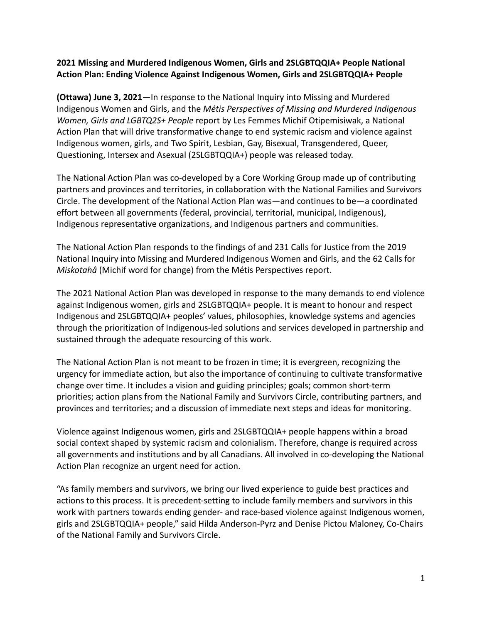## **2021 Missing and Murdered Indigenous Women, Girls and 2SLGBTQQIA+ People National Action Plan: Ending Violence Against Indigenous Women, Girls and 2SLGBTQQIA+ People**

**(Ottawa) June 3, 2021**—In response to the National Inquiry into Missing and Murdered Indigenous Women and Girls, and the *Métis Perspectives of Missing and Murdered Indigenous Women, Girls and LGBTQ2S+ People* report by Les Femmes Michif Otipemisiwak, a National Action Plan that will drive transformative change to end systemic racism and violence against Indigenous women, girls, and Two Spirit, Lesbian, Gay, Bisexual, Transgendered, Queer, Questioning, Intersex and Asexual (2SLGBTQQIA+) people was released today.

The National Action Plan was co-developed by a Core Working Group made up of contributing partners and provinces and territories, in collaboration with the National Families and Survivors Circle. The development of the National Action Plan was—and continues to be—a coordinated effort between all governments (federal, provincial, territorial, municipal, Indigenous), Indigenous representative organizations, and Indigenous partners and communities.

The National Action Plan responds to the findings of and 231 Calls for Justice from the 2019 National Inquiry into Missing and Murdered Indigenous Women and Girls, and the 62 Calls for *Miskotahâ* (Michif word for change) from the Métis Perspectives report.

The 2021 National Action Plan was developed in response to the many demands to end violence against Indigenous women, girls and 2SLGBTQQIA+ people. It is meant to honour and respect Indigenous and 2SLGBTQQIA+ peoples' values, philosophies, knowledge systems and agencies through the prioritization of Indigenous-led solutions and services developed in partnership and sustained through the adequate resourcing of this work.

The National Action Plan is not meant to be frozen in time; it is evergreen, recognizing the urgency for immediate action, but also the importance of continuing to cultivate transformative change over time. It includes a vision and guiding principles; goals; common short-term priorities; action plans from the National Family and Survivors Circle, contributing partners, and provinces and territories; and a discussion of immediate next steps and ideas for monitoring.

Violence against Indigenous women, girls and 2SLGBTQQIA+ people happens within a broad social context shaped by systemic racism and colonialism. Therefore, change is required across all governments and institutions and by all Canadians. All involved in co-developing the National Action Plan recognize an urgent need for action.

"As family members and survivors, we bring our lived experience to guide best practices and actions to this process. It is precedent-setting to include family members and survivors in this work with partners towards ending gender- and race-based violence against Indigenous women, girls and 2SLGBTQQIA+ people," said Hilda Anderson-Pyrz and Denise Pictou Maloney, Co-Chairs of the National Family and Survivors Circle.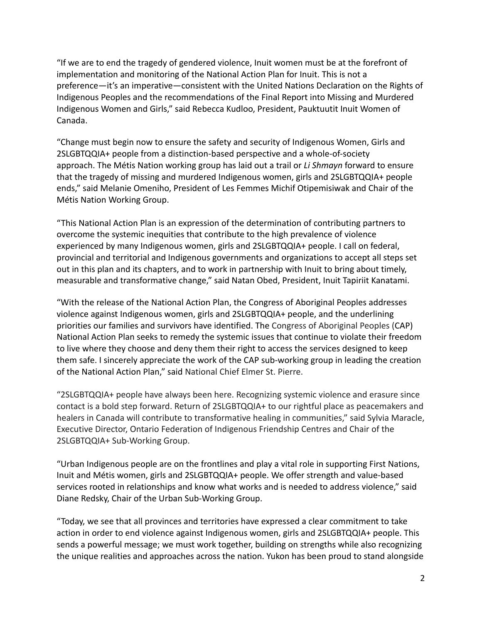"If we are to end the tragedy of gendered violence, Inuit women must be at the forefront of implementation and monitoring of the National Action Plan for Inuit. This is not a preference—it's an imperative—consistent with the United Nations Declaration on the Rights of Indigenous Peoples and the recommendations of the Final Report into Missing and Murdered Indigenous Women and Girls," said Rebecca Kudloo, President, Pauktuutit Inuit Women of Canada.

"Change must begin now to ensure the safety and security of Indigenous Women, Girls and 2SLGBTQQIA+ people from a distinction-based perspective and a whole-of-society approach. The Métis Nation working group has laid out a trail or *Li Shmayn* forward to ensure that the tragedy of missing and murdered Indigenous women, girls and 2SLGBTQQIA+ people ends," said Melanie Omeniho, President of Les Femmes Michif Otipemisiwak and Chair of the Métis Nation Working Group.

"This National Action Plan is an expression of the determination of contributing partners to overcome the systemic inequities that contribute to the high prevalence of violence experienced by many Indigenous women, girls and 2SLGBTQQIA+ people. I call on federal, provincial and territorial and Indigenous governments and organizations to accept all steps set out in this plan and its chapters, and to work in partnership with Inuit to bring about timely, measurable and transformative change," said Natan Obed, President, Inuit Tapiriit Kanatami.

"With the release of the National Action Plan, the Congress of Aboriginal Peoples addresses violence against Indigenous women, girls and 2SLGBTQQIA+ people, and the underlining priorities our families and survivors have identified. The Congress of Aboriginal Peoples (CAP) National Action Plan seeks to remedy the systemic issues that continue to violate their freedom to live where they choose and deny them their right to access the services designed to keep them safe. I sincerely appreciate the work of the CAP sub-working group in leading the creation of the National Action Plan," said National Chief Elmer St. Pierre.

"2SLGBTQQIA+ people have always been here. Recognizing systemic violence and erasure since contact is a bold step forward. Return of 2SLGBTQQIA+ to our rightful place as peacemakers and healers in Canada will contribute to transformative healing in communities," said Sylvia Maracle, Executive Director, Ontario Federation of Indigenous Friendship Centres and Chair of the 2SLGBTQQIA+ Sub-Working Group.

"Urban Indigenous people are on the frontlines and play a vital role in supporting First Nations, Inuit and Métis women, girls and 2SLGBTQQIA+ people. We offer strength and value-based services rooted in relationships and know what works and is needed to address violence," said Diane Redsky, Chair of the Urban Sub-Working Group.

"Today, we see that all provinces and territories have expressed a clear commitment to take action in order to end violence against Indigenous women, girls and 2SLGBTQQIA+ people. This sends a powerful message; we must work together, building on strengths while also recognizing the unique realities and approaches across the nation. Yukon has been proud to stand alongside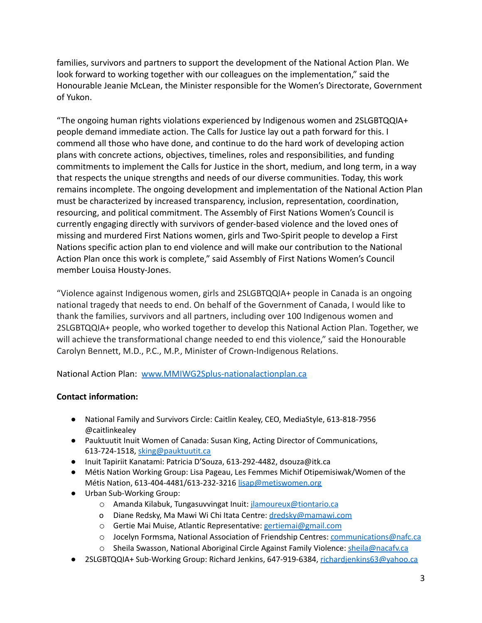families, survivors and partners to support the development of the National Action Plan. We look forward to working together with our colleagues on the implementation," said the Honourable Jeanie McLean, the Minister responsible for the Women's Directorate, Government of Yukon.

"The ongoing human rights violations experienced by Indigenous women and 2SLGBTQQIA+ people demand immediate action. The Calls for Justice lay out a path forward for this. I commend all those who have done, and continue to do the hard work of developing action plans with concrete actions, objectives, timelines, roles and responsibilities, and funding commitments to implement the Calls for Justice in the short, medium, and long term, in a way that respects the unique strengths and needs of our diverse communities. Today, this work remains incomplete. The ongoing development and implementation of the National Action Plan must be characterized by increased transparency, inclusion, representation, coordination, resourcing, and political commitment. The Assembly of First Nations Women's Council is currently engaging directly with survivors of gender-based violence and the loved ones of missing and murdered First Nations women, girls and Two-Spirit people to develop a First Nations specific action plan to end violence and will make our contribution to the National Action Plan once this work is complete," said Assembly of First Nations Women's Council member Louisa Housty-Jones.

"Violence against Indigenous women, girls and 2SLGBTQQIA+ people in Canada is an ongoing national tragedy that needs to end. On behalf of the Government of Canada, I would like to thank the families, survivors and all partners, including over 100 Indigenous women and 2SLGBTQQIA+ people, who worked together to develop this National Action Plan. Together, we will achieve the transformational change needed to end this violence," said the Honourable Carolyn Bennett, M.D., P.C., M.P., Minister of Crown-Indigenous Relations.

National Action Plan: [www.MMIWG2Splus-nationalactionplan.ca](http://www.mmiwg2splus-nationalactionplan.ca)

## **Contact information:**

- National Family and Survivors Circle: Caitlin Kealey, CEO, MediaStyle, 613-818-7956 @caitlinkealey
- Pauktuutit Inuit Women of Canada: Susan King, Acting Director of Communications, 613-724-1518, [sking@pauktuutit.ca](mailto:sking@pauktuutit.ca)
- Inuit Tapiriit Kanatami: Patricia D'Souza, 613-292-4482, dsouza@itk.ca
- Métis Nation Working Group: Lisa Pageau, Les Femmes Michif Otipemisiwak/Women of the Métis Nation, 613-404-4481/613-232-3216 [lisap@metiswomen.org](mailto:lisap@metiswomen.org)
- Urban Sub-Working Group:
	- o Amanda Kilabuk, Tungasuvvingat Inuit: *ilamoureux@tiontario.ca*
	- o Diane Redsky, Ma Mawi Wi Chi Itata Centre: [dredsky@mamawi.com](mailto:dredsky@mamawi.com)
	- o Gertie Mai Muise, Atlantic Representative: [gertiemai@gmail.com](mailto:gertiemai@gmail.com)
	- o Jocelyn Formsma, National Association of Friendship Centres: [communications@nafc.ca](mailto:communications@nafc.ca)
	- o Sheila Swasson, National Aboriginal Circle Against Family Violence: [sheila@nacafv.ca](mailto:sheila@nacafv.ca)
- 2SLGBTQQIA+ Sub-Working Group: Richard Jenkins, 647-919-6384, richardienkins63@yahoo.ca